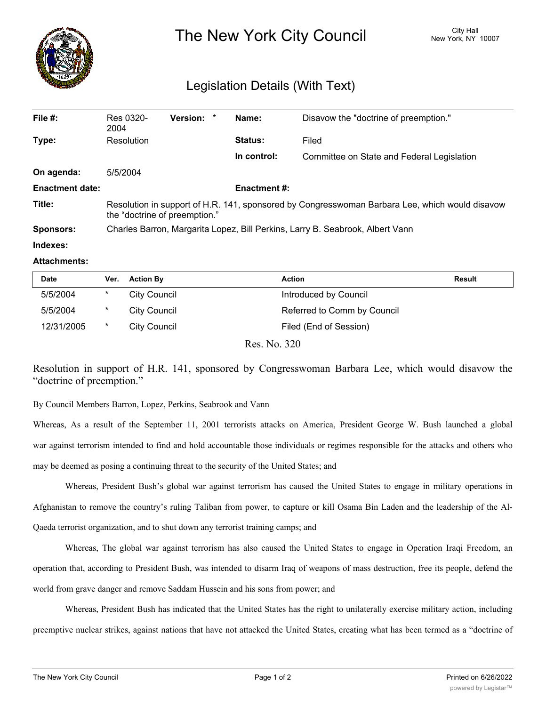

## Legislation Details (With Text)

| File $#$ :             | Res 0320-<br>2004                                                                                                               | Version: * |  | Name:          | Disavow the "doctrine of preemption."      |  |
|------------------------|---------------------------------------------------------------------------------------------------------------------------------|------------|--|----------------|--------------------------------------------|--|
| Type:                  | Resolution                                                                                                                      |            |  | <b>Status:</b> | Filed                                      |  |
|                        |                                                                                                                                 |            |  | In control:    | Committee on State and Federal Legislation |  |
| On agenda:             | 5/5/2004                                                                                                                        |            |  |                |                                            |  |
| <b>Enactment date:</b> | <b>Enactment #:</b>                                                                                                             |            |  |                |                                            |  |
| Title:                 | Resolution in support of H.R. 141, sponsored by Congresswoman Barbara Lee, which would disavow<br>the "doctrine of preemption." |            |  |                |                                            |  |
| <b>Sponsors:</b>       | Charles Barron, Margarita Lopez, Bill Perkins, Larry B. Seabrook, Albert Vann                                                   |            |  |                |                                            |  |
| Indexes:               |                                                                                                                                 |            |  |                |                                            |  |

## **Attachments:**

| <b>Date</b> | Ver.   | <b>Action By</b> | <b>Action</b>               | Result |
|-------------|--------|------------------|-----------------------------|--------|
| 5/5/2004    | $\ast$ | City Council     | Introduced by Council       |        |
| 5/5/2004    | $\ast$ | City Council     | Referred to Comm by Council |        |
| 12/31/2005  | *      | City Council     | Filed (End of Session)      |        |
|             |        |                  | -- ---                      |        |

Res. No. 320

Resolution in support of H.R. 141, sponsored by Congresswoman Barbara Lee, which would disavow the "doctrine of preemption."

By Council Members Barron, Lopez, Perkins, Seabrook and Vann

Whereas, As a result of the September 11, 2001 terrorists attacks on America, President George W. Bush launched a global war against terrorism intended to find and hold accountable those individuals or regimes responsible for the attacks and others who may be deemed as posing a continuing threat to the security of the United States; and

Whereas, President Bush's global war against terrorism has caused the United States to engage in military operations in Afghanistan to remove the country's ruling Taliban from power, to capture or kill Osama Bin Laden and the leadership of the Al-Qaeda terrorist organization, and to shut down any terrorist training camps; and

Whereas, The global war against terrorism has also caused the United States to engage in Operation Iraqi Freedom, an operation that, according to President Bush, was intended to disarm Iraq of weapons of mass destruction, free its people, defend the world from grave danger and remove Saddam Hussein and his sons from power; and

Whereas, President Bush has indicated that the United States has the right to unilaterally exercise military action, including preemptive nuclear strikes, against nations that have not attacked the United States, creating what has been termed as a "doctrine of